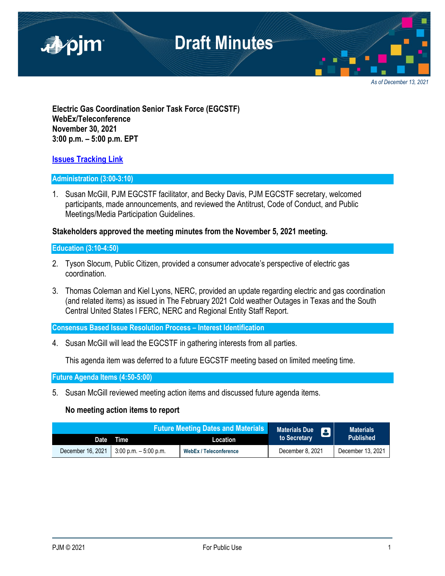

*As of December 13, 2021*

**Electric Gas Coordination Senior Task Force (EGCSTF) WebEx/Teleconference November 30, 2021 3:00 p.m. – 5:00 p.m. EPT**

# **[Issues Tracking Link](https://www.pjm.com/committees-and-groups/issue-tracking/issue-tracking-details.aspx?Issue=e3c8385c-0638-4a1d-a5d2-8b1a2a87c295)**

# **Administration (3:00-3:10)**

1. Susan McGill, PJM EGCSTF facilitator, and Becky Davis, PJM EGCSTF secretary, welcomed participants, made announcements, and reviewed the Antitrust, Code of Conduct, and Public Meetings/Media Participation Guidelines.

# **Stakeholders approved the meeting minutes from the November 5, 2021 meeting.**

# **Education (3:10-4:50)**

- 2. Tyson Slocum, Public Citizen, provided a consumer advocate's perspective of electric gas coordination.
- 3. Thomas Coleman and Kiel Lyons, NERC, provided an update regarding electric and gas coordination (and related items) as issued in The February 2021 Cold weather Outages in Texas and the South Central United States l FERC, NERC and Regional Entity Staff Report.

**Consensus Based Issue Resolution Process – Interest Identification**

4. Susan McGill will lead the EGCSTF in gathering interests from all parties.

This agenda item was deferred to a future EGCSTF meeting based on limited meeting time.

# **Future Agenda Items (4:50-5:00)**

5. Susan McGill reviewed meeting action items and discussed future agenda items.

# **No meeting action items to report**

| <b>Future Meeting Dates and Materials</b> |                                                      |                               | Materials Due    | <b>Materials</b>  |
|-------------------------------------------|------------------------------------------------------|-------------------------------|------------------|-------------------|
|                                           | Date Time                                            | Location                      | to Secretary     | <b>Published</b>  |
|                                           | December 16, 2021 $\parallel$ 3:00 p.m. $-5:00$ p.m. | <b>WebEx / Teleconference</b> | December 8, 2021 | December 13, 2021 |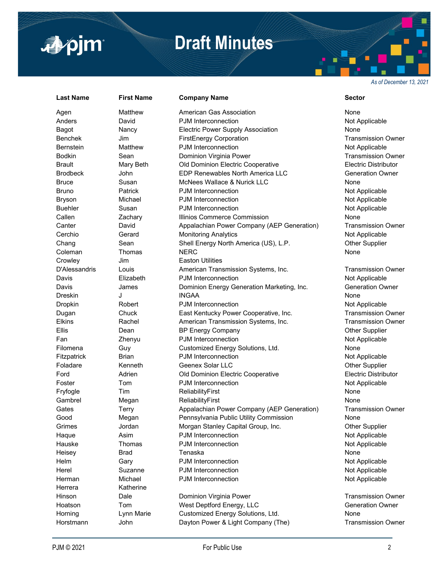

# **Draft Minutes**

*As of December 13, 2021*

# Herrera Katherine

# **Last Name First Name Company Name Sector**

Agen Matthew American Gas Association None Anders **David PJM Interconnection CONSERVITY Anders** Not Applicable Bagot **Nancy** Electric Power Supply Association None Benchek Jim FirstEnergy Corporation Transmission Owner Bernstein Matthew PJM Interconnection Matthew PJM Interconnection Bodkin Sean **Sean Dominion Virginia Power** Superstone Transmission Owner Brault Mary Beth Old Dominion Electric Cooperative Electric Distributor Brodbeck John EDP Renewables North America LLC Generation Owner Bruce Susan McNees Wallace & Nurick LLC None Bruno **Patrick** PJM Interconnection **PGM** 2008 POM Interconnection Bryson Michael PJM Interconnection Not Applicable Not Applicable Buehler Susan BUM Interconnection Communication Not Applicable Callen Zachary Illinios Commerce Commission None Canter David Appalachian Power Company (AEP Generation) Transmission Owner Cerchio Gerard Monitoring Analytics Cerchio Not Applicable Chang Sean Shell Energy North America (US), L.P. Cher Supplier Coleman Thomas NERC None Crowley **Jim** Easton Utilities D'Alessandris Louis **American Transmission Systems, Inc.** Transmission Owner Davis **Elizabeth** PJM Interconnection **Not Applicable** Not Applicable Davis **Davis James** Dominion Energy Generation Marketing, Inc. Generation Owner Dreskin J INGAA None **Dropkin** Robert PJM Interconnection **Not Applicable** Not Applicable Dugan Chuck East Kentucky Power Cooperative, Inc. Transmission Owner Elkins Rachel American Transmission Systems, Inc. Transmission Owner Ellis **Ellis** Dean BP Energy Company **Dean** Other Supplier Fan **Zhenyu** PJM Interconnection **Not Applicable** Not Applicable Filomena Guy Guy Customized Energy Solutions, Ltd. Comments Customized Energy Solutions, Ltd. Fitzpatrick Brian Brian PJM Interconnection Not Applicable Foladare **Kenneth Geenex Solar LLC Connect Connect City Connect Connect Connect Connect Connect Connect Connect Connect Connect Connect Connect Connect Connect Connect Connect Connect Connect Connect Connect Connect Conn** Ford Adrien Old Dominion Electric Cooperative Electric Distributor Foster Tom Tom PJM Interconnection The State of Applicable Not Applicable Fryfogle Tim ReliabilityFirst Communication None Gambrel Megan ReliabilityFirst **None** None Gates Terry **Appalachian Power Company (AEP Generation)** Transmission Owner Good Megan Pennsylvania Public Utility Commission None Grimes Jordan Morgan Stanley Capital Group, Inc. Other Supplier Haque Asim BJM Interconnection Asim Asim Power Asim And Applicable Hauske Thomas PJM Interconnection Not Applicable Not Applicable Heisey Brad Tenaska None Helm Gary **Gary PJM Interconnection** Communication Not Applicable Herel Suzanne PJM Interconnection Controller Not Applicable Herman Michael PJM Interconnection Not Applicable Hinson **Dale Dominion Virginia Power Communist Communist Communist Communist Communist Communist Communist Communist Communist Communist Communist Communist Date Dominion Virginia Power Communist Communist Communist Commun** Hoatson Tom West Deptford Energy, LLC Generation Owner Horning Eynn Marie Customized Energy Solutions, Ltd. The Cone Horstmann John Dayton Power & Light Company (The) Transmission Owner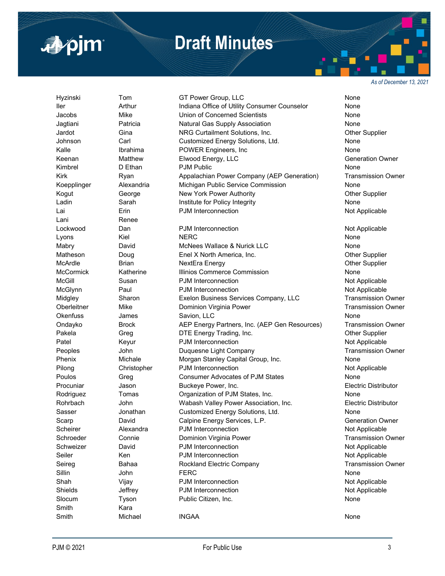

*As of December 13, 2021*

Lani Renee Smith Kara

■pim

Hyzinski Tom GT Power Group, LLC None Iler Arthur Indiana Office of Utility Consumer Counselor None Jacobs Mike Union of Concerned Scientists None Jagtiani Patricia Natural Gas Supply Association None Jardot Gina NRG Curtailment Solutions, Inc. Other Supplier Johnson Carl Customized Energy Solutions, Ltd. None Kalle **Ibrahima** POWER Engineers, Inc None None Keenan **Matthew Elwood Energy, LLC** Character Matthew Elwood Energy, LLC Kimbrel D Ethan PJM Public None Kirk Ryan Appalachian Power Company (AEP Generation) Transmission Owner Koepplinger Alexandria Michigan Public Service Commission None Kogut George New York Power Authority **New York Power Authority** Channel Authority Ladin **Sarah** Institute for Policy Integrity **Institute Institute Institute Integrity** Shope Lai **Erin** Erin PJM Interconnection **Not Applicable** Not Applicable Lockwood Dan PJM Interconnection **Not Applicable** Lyons Kiel NERC None Mabry **David** David McNees Wallace & Nurick LLC None Matheson Doug Enel X North America, Inc. Channel Cher Supplier McArdle **Brian** Brian NextEra Energy **COMES AND SUPPLIER** Other Supplier McCormick Katherine Illinios Commerce Commission None McGill Susan PJM Interconnection Communication Not Applicable McGlynn Paul PJM Interconnection **Not Applicable** Midgley Sharon Exelon Business Services Company, LLC Transmission Owner Oberleitner Mike **Dominion Virginia Power** Transmission Owner Okenfuss James Savion, LLC 3000 Charles None Ondayko Brock AEP Energy Partners, Inc. (AEP Gen Resources) Transmission Owner Pakela **Greg Creg Brander Contact Creation** DTE Energy Trading, Inc. **Creational Creation Creation** Other Supplier Patel **Reading Community Community** PJM Interconnection **Not Applicable** Not Applicable Peoples **Solution Company Company** Duquesne Light Company **Transmission Owner** Peoples Phenix Michale Morgan Stanley Capital Group, Inc. None Pilong Christopher PJM Interconnection **Not Applicable** Not Applicable Poulos Greg Consumer Advocates of PJM States Consumer Advocates of PJM States Procuniar Jason Buckeye Power, Inc. Electric Distributor Rodriguez Tomas Crganization of PJM States, Inc. None Rohrbach John Wabash Valley Power Association, Inc. Electric Distributor Sasser **Sasser** Jonathan Customized Energy Solutions, Ltd. None Scarp **Subset David** Calpine Energy Services, L.P. **Calpine Energy Services**, L.P. Scheirer **Alexandra** PJM Interconnection **Not Applicable** Not Applicable Schroeder Connie Dominion Virginia Power Conner Transmission Owner Schweizer David **PJM Interconnection Not Applicable** Seiler **Ken Communist Communist Communist Communist Communist Communist Communist Communist Communist Communist Communist Communist Communist Communist Communist Communist Communist Communist Communist Communist Communist** Seireg **Bahaa** Rockland Electric Company **Rockland Electric Company** Transmission Owner Sillin John FERC None Shah **Vijay** PJM Interconnection **Not Applicable** Shields **Shields** Jeffrey **PJM Interconnection Not Applicable** Slocum Tyson Public Citizen, Inc. None None Smith Michael INGAA None